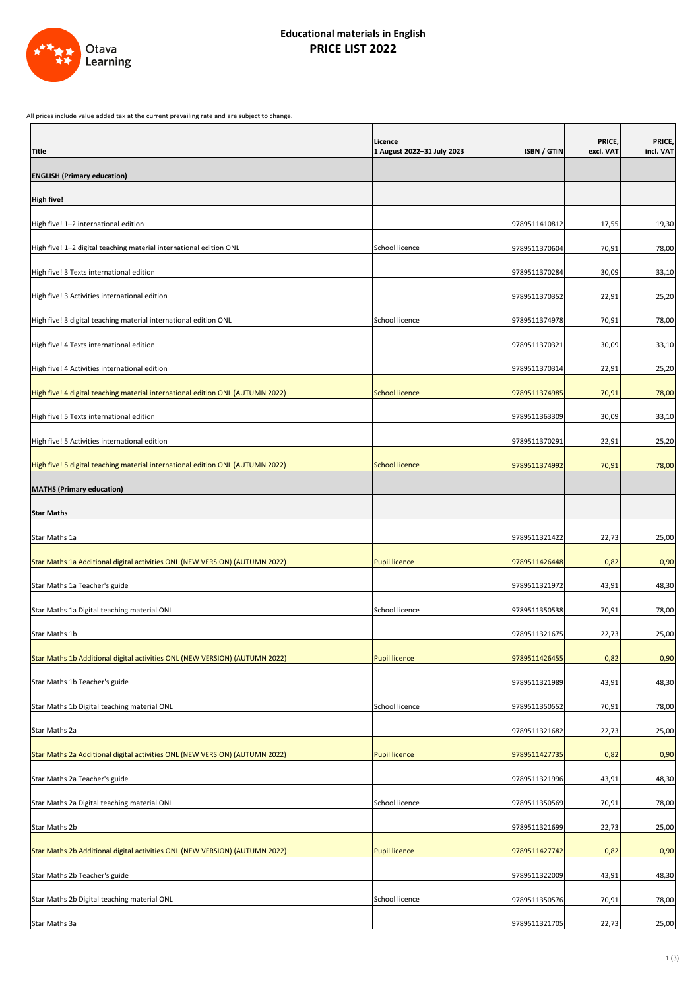All prices include value added tax at the current prevailing rate and are subject to change.

| <b>Title</b>                                                                   | Licence<br>1 August 2022-31 July 2023 | ISBN / GTIN   | PRICE,<br>excl. VAT | PRICE,<br>incl. VAT |
|--------------------------------------------------------------------------------|---------------------------------------|---------------|---------------------|---------------------|
| <b>ENGLISH (Primary education)</b>                                             |                                       |               |                     |                     |
| <b>High five!</b>                                                              |                                       |               |                     |                     |
| High five! 1-2 international edition                                           |                                       | 9789511410812 | 17,55               | 19,30               |
| High five! 1-2 digital teaching material international edition ONL             | School licence                        | 9789511370604 | 70,91               | 78,00               |
| High five! 3 Texts international edition                                       |                                       | 9789511370284 | 30,09               | 33,10               |
| High five! 3 Activities international edition                                  |                                       | 9789511370352 | 22,91               | 25,20               |
| High five! 3 digital teaching material international edition ONL               | School licence                        | 9789511374978 | 70,91               | 78,00               |
| High five! 4 Texts international edition                                       |                                       | 9789511370321 | 30,09               | 33,10               |
| High five! 4 Activities international edition                                  |                                       | 9789511370314 | 22,91               | 25,20               |
| High five! 4 digital teaching material international edition ONL (AUTUMN 2022) | School licence                        | 9789511374985 | 70,91               | 78,00               |
| High five! 5 Texts international edition                                       |                                       | 9789511363309 | 30,09               | 33,10               |
| High five! 5 Activities international edition                                  |                                       | 9789511370291 | 22,91               | 25,20               |
| High five! 5 digital teaching material international edition ONL (AUTUMN 2022) | <b>School licence</b>                 | 9789511374992 | 70,91               | 78,00               |
| <b>MATHS (Primary education)</b>                                               |                                       |               |                     |                     |
| <b>Star Maths</b>                                                              |                                       |               |                     |                     |
| Star Maths 1a                                                                  |                                       | 9789511321422 | 22,73               | 25,00               |
| Star Maths 1a Additional digital activities ONL (NEW VERSION) (AUTUMN 2022)    | <b>Pupil licence</b>                  | 9789511426448 | 0,82                | 0,90                |
| Star Maths 1a Teacher's guide                                                  |                                       | 9789511321972 | 43,91               | 48,30               |
| Star Maths 1a Digital teaching material ONL                                    | School licence                        | 9789511350538 | 70,91               | 78,00               |
| Star Maths 1b                                                                  |                                       | 9789511321675 | 22,73               | 25,00               |
| Star Maths 1b Additional digital activities ONL (NEW VERSION) (AUTUMN 2022)    | <b>Pupil licence</b>                  | 9789511426455 | 0,82                | 0,90                |
| Star Maths 1b Teacher's guide                                                  |                                       | 9789511321989 | 43,91               | 48,30               |
| Star Maths 1b Digital teaching material ONL                                    | School licence                        | 9789511350552 | 70,91               | 78,00               |
| Star Maths 2a                                                                  |                                       | 9789511321682 | 22,73               | 25,00               |
| Star Maths 2a Additional digital activities ONL (NEW VERSION) (AUTUMN 2022)    | <b>Pupil licence</b>                  | 9789511427735 | 0,82                | 0,90                |
| Star Maths 2a Teacher's guide                                                  |                                       | 9789511321996 | 43,91               | 48,30               |
| Star Maths 2a Digital teaching material ONL                                    | School licence                        | 9789511350569 | 70,91               | 78,00               |
| Star Maths 2b                                                                  |                                       | 9789511321699 | 22,73               | 25,00               |
| Star Maths 2b Additional digital activities ONL (NEW VERSION) (AUTUMN 2022)    | <b>Pupil licence</b>                  | 9789511427742 | 0,82                | 0,90                |
| Star Maths 2b Teacher's guide                                                  |                                       | 9789511322009 | 43,91               | 48,30               |
| Star Maths 2b Digital teaching material ONL                                    | School licence                        | 9789511350576 | 70,91               | 78,00               |
| Star Maths 3a                                                                  |                                       | 9789511321705 | 22,73               | 25,00               |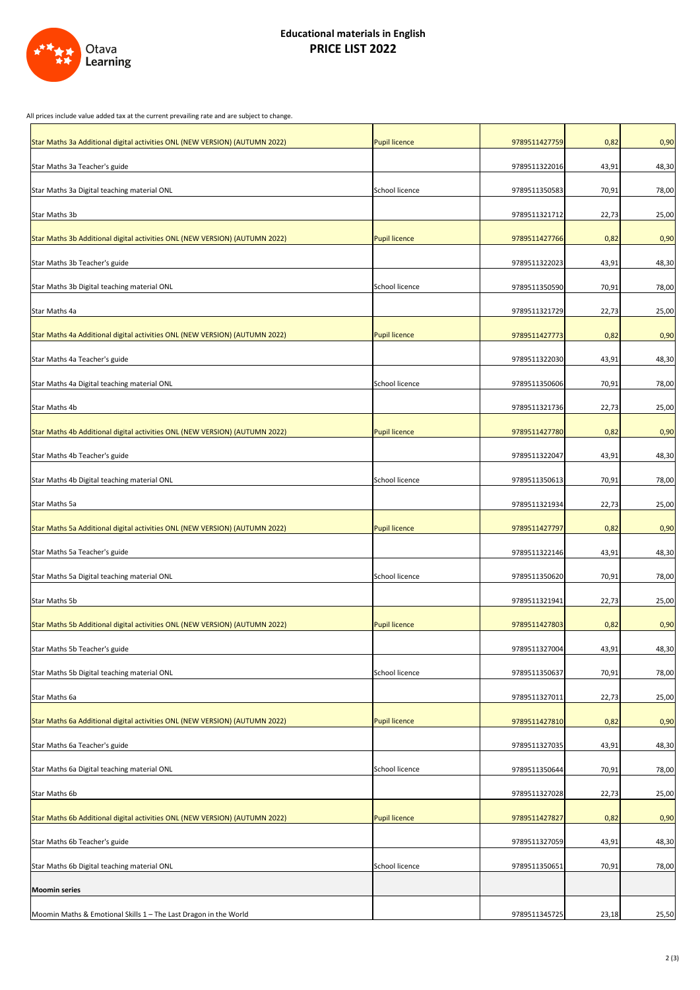## All prices include value added tax at the current prevailing rate and are subject to change.



| Star Maths 3a Additional digital activities ONL (NEW VERSION) (AUTUMN 2022) | <b>Pupil licence</b> | 9789511427759 | 0,82  | 0,90  |
|-----------------------------------------------------------------------------|----------------------|---------------|-------|-------|
| Star Maths 3a Teacher's guide                                               |                      | 9789511322016 | 43,91 | 48,30 |
| Star Maths 3a Digital teaching material ONL                                 | School licence       | 9789511350583 | 70,91 | 78,00 |
| Star Maths 3b                                                               |                      | 9789511321712 | 22,73 | 25,00 |
| Star Maths 3b Additional digital activities ONL (NEW VERSION) (AUTUMN 2022) | <b>Pupil licence</b> | 9789511427766 | 0,82  | 0,90  |
| Star Maths 3b Teacher's guide                                               |                      | 9789511322023 | 43,91 | 48,30 |
| Star Maths 3b Digital teaching material ONL                                 | School licence       | 9789511350590 | 70,91 | 78,00 |
| Star Maths 4a                                                               |                      | 9789511321729 | 22,73 | 25,00 |
| Star Maths 4a Additional digital activities ONL (NEW VERSION) (AUTUMN 2022) | <b>Pupil licence</b> | 9789511427773 | 0,82  | 0,90  |
| Star Maths 4a Teacher's guide                                               |                      | 9789511322030 | 43,91 | 48,30 |
| Star Maths 4a Digital teaching material ONL                                 | School licence       | 9789511350606 | 70,91 | 78,00 |
| Star Maths 4b                                                               |                      | 9789511321736 | 22,73 | 25,00 |
| Star Maths 4b Additional digital activities ONL (NEW VERSION) (AUTUMN 2022) | <b>Pupil licence</b> | 9789511427780 | 0,82  | 0,90  |
| Star Maths 4b Teacher's guide                                               |                      | 9789511322047 | 43,91 | 48,30 |
| Star Maths 4b Digital teaching material ONL                                 | School licence       | 9789511350613 | 70,91 | 78,00 |
| Star Maths 5a                                                               |                      | 9789511321934 | 22,73 | 25,00 |
| Star Maths 5a Additional digital activities ONL (NEW VERSION) (AUTUMN 2022) | <b>Pupil licence</b> | 9789511427797 | 0,82  | 0,90  |
| Star Maths 5a Teacher's guide                                               |                      | 9789511322146 | 43,91 | 48,30 |
| Star Maths 5a Digital teaching material ONL                                 | School licence       | 9789511350620 | 70,91 | 78,00 |
| Star Maths 5b                                                               |                      | 9789511321941 | 22,73 | 25,00 |
| Star Maths 5b Additional digital activities ONL (NEW VERSION) (AUTUMN 2022) | <b>Pupil licence</b> | 9789511427803 | 0,82  | 0,90  |
| Star Maths 5b Teacher's guide                                               |                      | 9789511327004 | 43,91 | 48,30 |
| Star Maths 5b Digital teaching material ONL                                 | School licence       | 9789511350637 | 70,91 | 78,00 |
| Star Maths 6a                                                               |                      | 9789511327011 | 22,73 | 25,00 |
| Star Maths 6a Additional digital activities ONL (NEW VERSION) (AUTUMN 2022) | <b>Pupil licence</b> | 9789511427810 | 0,82  | 0,90  |
| Star Maths 6a Teacher's guide                                               |                      | 9789511327035 | 43,91 | 48,30 |
| Star Maths 6a Digital teaching material ONL                                 | School licence       | 9789511350644 | 70,91 | 78,00 |
| Star Maths 6b                                                               |                      | 9789511327028 | 22,73 | 25,00 |
| Star Maths 6b Additional digital activities ONL (NEW VERSION) (AUTUMN 2022) | <b>Pupil licence</b> | 9789511427827 | 0,82  | 0,90  |
| Star Maths 6b Teacher's guide                                               |                      | 9789511327059 | 43,91 | 48,30 |
| Star Maths 6b Digital teaching material ONL                                 | School licence       | 9789511350651 | 70,91 | 78,00 |
| <b>Moomin series</b>                                                        |                      |               |       |       |
| Moomin Maths & Emotional Skills 1 - The Last Dragon in the World            |                      | 9789511345725 | 23,18 | 25,50 |